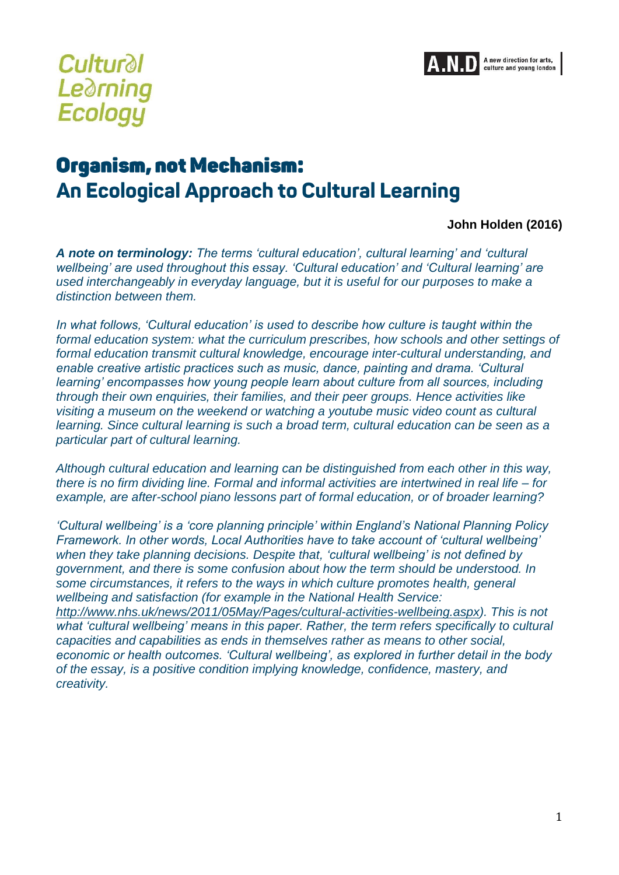

# **Cultural Learning Ecology**

## Organism, not Mechanism: An Ecological Approach to Cultural Learning

#### **John Holden (2016)**

*A note on terminology: The terms 'cultural education', cultural learning' and 'cultural wellbeing' are used throughout this essay. 'Cultural education' and 'Cultural learning' are used interchangeably in everyday language, but it is useful for our purposes to make a distinction between them.*

*In what follows, 'Cultural education' is used to describe how culture is taught within the formal education system: what the curriculum prescribes, how schools and other settings of formal education transmit cultural knowledge, encourage inter-cultural understanding, and enable creative artistic practices such as music, dance, painting and drama. 'Cultural learning' encompasses how young people learn about culture from all sources, including through their own enquiries, their families, and their peer groups. Hence activities like visiting a museum on the weekend or watching a youtube music video count as cultural learning. Since cultural learning is such a broad term, cultural education can be seen as a particular part of cultural learning.* 

*Although cultural education and learning can be distinguished from each other in this way, there is no firm dividing line. Formal and informal activities are intertwined in real life – for example, are after-school piano lessons part of formal education, or of broader learning?* 

*'Cultural wellbeing' is a 'core planning principle' within England's National Planning Policy Framework. In other words, Local Authorities have to take account of 'cultural wellbeing' when they take planning decisions. Despite that, 'cultural wellbeing' is not defined by government, and there is some confusion about how the term should be understood. In some circumstances, it refers to the ways in which culture promotes health, general wellbeing and satisfaction (for example in the National Health Service: [http://www.nhs.uk/news/2011/05May/Pages/cultural-activities-wellbeing.aspx\)](http://www.nhs.uk/news/2011/05May/Pages/cultural-activities-wellbeing.aspx). This is not what 'cultural wellbeing' means in this paper. Rather, the term refers specifically to cultural capacities and capabilities as ends in themselves rather as means to other social, economic or health outcomes. 'Cultural wellbeing', as explored in further detail in the body of the essay, is a positive condition implying knowledge, confidence, mastery, and creativity.*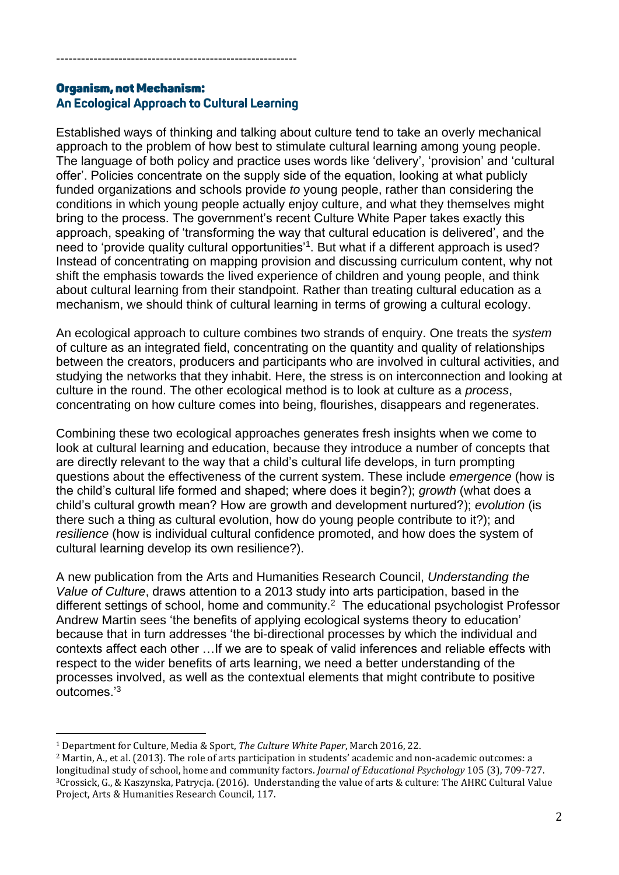#### **Organism, not Mechanism:** An Ecological Approach to Cultural Learning

----------------------------------------------------------

Established ways of thinking and talking about culture tend to take an overly mechanical approach to the problem of how best to stimulate cultural learning among young people. The language of both policy and practice uses words like 'delivery', 'provision' and 'cultural offer'. Policies concentrate on the supply side of the equation, looking at what publicly funded organizations and schools provide *to* young people, rather than considering the conditions in which young people actually enjoy culture, and what they themselves might bring to the process. The government's recent Culture White Paper takes exactly this approach, speaking of 'transforming the way that cultural education is delivered', and the need to 'provide quality cultural opportunities'<sup>1</sup>. But what if a different approach is used? Instead of concentrating on mapping provision and discussing curriculum content, why not shift the emphasis towards the lived experience of children and young people, and think about cultural learning from their standpoint. Rather than treating cultural education as a mechanism, we should think of cultural learning in terms of growing a cultural ecology.

An ecological approach to culture combines two strands of enquiry. One treats the *system* of culture as an integrated field, concentrating on the quantity and quality of relationships between the creators, producers and participants who are involved in cultural activities, and studying the networks that they inhabit. Here, the stress is on interconnection and looking at culture in the round. The other ecological method is to look at culture as a *process*, concentrating on how culture comes into being, flourishes, disappears and regenerates.

Combining these two ecological approaches generates fresh insights when we come to look at cultural learning and education, because they introduce a number of concepts that are directly relevant to the way that a child's cultural life develops, in turn prompting questions about the effectiveness of the current system. These include *emergence* (how is the child's cultural life formed and shaped; where does it begin?); *growth* (what does a child's cultural growth mean? How are growth and development nurtured?); *evolution* (is there such a thing as cultural evolution, how do young people contribute to it?); and *resilience* (how is individual cultural confidence promoted, and how does the system of cultural learning develop its own resilience?).

A new publication from the Arts and Humanities Research Council, *Understanding the Value of Culture*, draws attention to a 2013 study into arts participation, based in the different settings of school, home and community.<sup>2</sup> The educational psychologist Professor Andrew Martin sees 'the benefits of applying ecological systems theory to education' because that in turn addresses 'the bi-directional processes by which the individual and contexts affect each other …If we are to speak of valid inferences and reliable effects with respect to the wider benefits of arts learning, we need a better understanding of the processes involved, as well as the contextual elements that might contribute to positive outcomes.'<sup>3</sup>

<u>.</u>

<sup>1</sup> Department for Culture, Media & Sport, *The Culture White Paper*, March 2016, 22.

<sup>2</sup> Martin, A., et al. (2013). The role of arts participation in students' academic and non-academic outcomes: a longitudinal study of school, home and community factors. *Journal of Educational Psychology* 105 (3), 709-727. <sup>3</sup>Crossick, G., & Kaszynska, Patrycja. (2016). Understanding the value of arts & culture: The AHRC Cultural Value Project, Arts & Humanities Research Council, 117.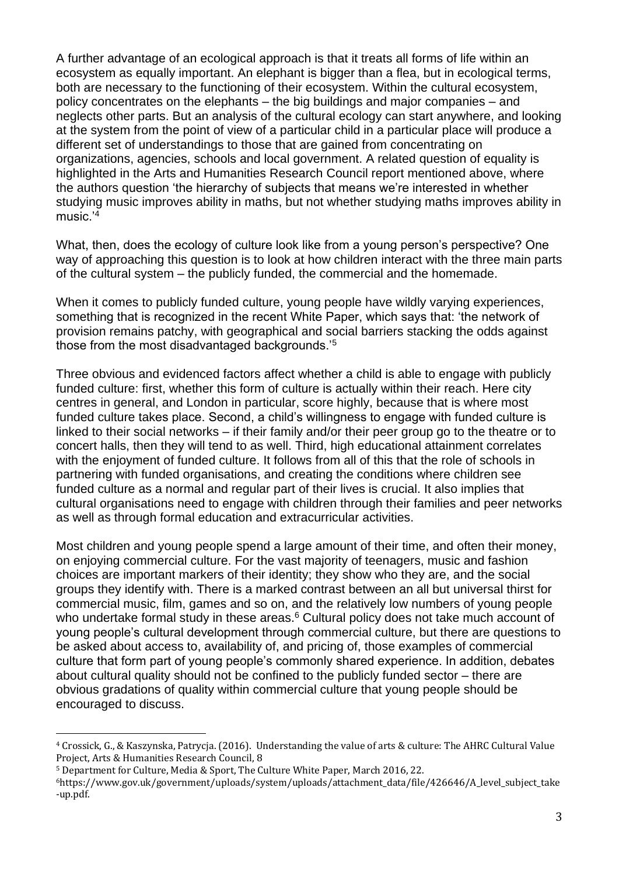A further advantage of an ecological approach is that it treats all forms of life within an ecosystem as equally important. An elephant is bigger than a flea, but in ecological terms, both are necessary to the functioning of their ecosystem. Within the cultural ecosystem, policy concentrates on the elephants – the big buildings and major companies – and neglects other parts. But an analysis of the cultural ecology can start anywhere, and looking at the system from the point of view of a particular child in a particular place will produce a different set of understandings to those that are gained from concentrating on organizations, agencies, schools and local government. A related question of equality is highlighted in the Arts and Humanities Research Council report mentioned above, where the authors question 'the hierarchy of subjects that means we're interested in whether studying music improves ability in maths, but not whether studying maths improves ability in music.'<sup>4</sup>

What, then, does the ecology of culture look like from a young person's perspective? One way of approaching this question is to look at how children interact with the three main parts of the cultural system – the publicly funded, the commercial and the homemade.

When it comes to publicly funded culture, young people have wildly varying experiences, something that is recognized in the recent White Paper, which says that: 'the network of provision remains patchy, with geographical and social barriers stacking the odds against those from the most disadvantaged backgrounds.'<sup>5</sup>

Three obvious and evidenced factors affect whether a child is able to engage with publicly funded culture: first, whether this form of culture is actually within their reach. Here city centres in general, and London in particular, score highly, because that is where most funded culture takes place. Second, a child's willingness to engage with funded culture is linked to their social networks – if their family and/or their peer group go to the theatre or to concert halls, then they will tend to as well. Third, high educational attainment correlates with the enjoyment of funded culture. It follows from all of this that the role of schools in partnering with funded organisations, and creating the conditions where children see funded culture as a normal and regular part of their lives is crucial. It also implies that cultural organisations need to engage with children through their families and peer networks as well as through formal education and extracurricular activities.

Most children and young people spend a large amount of their time, and often their money, on enjoying commercial culture. For the vast majority of teenagers, music and fashion choices are important markers of their identity; they show who they are, and the social groups they identify with. There is a marked contrast between an all but universal thirst for commercial music, film, games and so on, and the relatively low numbers of young people who undertake formal study in these areas.<sup>6</sup> Cultural policy does not take much account of young people's cultural development through commercial culture, but there are questions to be asked about access to, availability of, and pricing of, those examples of commercial culture that form part of young people's commonly shared experience. In addition, debates about cultural quality should not be confined to the publicly funded sector – there are obvious gradations of quality within commercial culture that young people should be encouraged to discuss.

<u>.</u>

<sup>4</sup> Crossick, G., & Kaszynska, Patrycja. (2016). Understanding the value of arts & culture: The AHRC Cultural Value Project, Arts & Humanities Research Council, 8

<sup>5</sup> Department for Culture, Media & Sport, The Culture White Paper, March 2016, 22.

<sup>6</sup>https://www.gov.uk/government/uploads/system/uploads/attachment\_data/file/426646/A\_level\_subject\_take -up.pdf.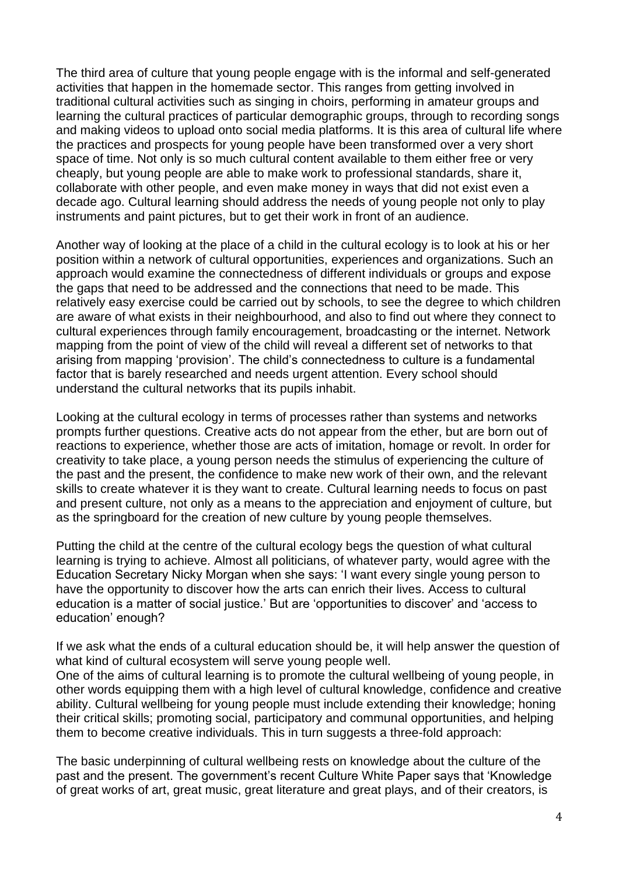The third area of culture that young people engage with is the informal and self-generated activities that happen in the homemade sector. This ranges from getting involved in traditional cultural activities such as singing in choirs, performing in amateur groups and learning the cultural practices of particular demographic groups, through to recording songs and making videos to upload onto social media platforms. It is this area of cultural life where the practices and prospects for young people have been transformed over a very short space of time. Not only is so much cultural content available to them either free or very cheaply, but young people are able to make work to professional standards, share it, collaborate with other people, and even make money in ways that did not exist even a decade ago. Cultural learning should address the needs of young people not only to play instruments and paint pictures, but to get their work in front of an audience.

Another way of looking at the place of a child in the cultural ecology is to look at his or her position within a network of cultural opportunities, experiences and organizations. Such an approach would examine the connectedness of different individuals or groups and expose the gaps that need to be addressed and the connections that need to be made. This relatively easy exercise could be carried out by schools, to see the degree to which children are aware of what exists in their neighbourhood, and also to find out where they connect to cultural experiences through family encouragement, broadcasting or the internet. Network mapping from the point of view of the child will reveal a different set of networks to that arising from mapping 'provision'. The child's connectedness to culture is a fundamental factor that is barely researched and needs urgent attention. Every school should understand the cultural networks that its pupils inhabit.

Looking at the cultural ecology in terms of processes rather than systems and networks prompts further questions. Creative acts do not appear from the ether, but are born out of reactions to experience, whether those are acts of imitation, homage or revolt. In order for creativity to take place, a young person needs the stimulus of experiencing the culture of the past and the present, the confidence to make new work of their own, and the relevant skills to create whatever it is they want to create. Cultural learning needs to focus on past and present culture, not only as a means to the appreciation and enjoyment of culture, but as the springboard for the creation of new culture by young people themselves.

Putting the child at the centre of the cultural ecology begs the question of what cultural learning is trying to achieve. Almost all politicians, of whatever party, would agree with the Education Secretary Nicky Morgan when she says: 'I want every single young person to have the opportunity to discover how the arts can enrich their lives. Access to cultural education is a matter of social justice.' But are 'opportunities to discover' and 'access to education' enough?

If we ask what the ends of a cultural education should be, it will help answer the question of what kind of cultural ecosystem will serve young people well.

One of the aims of cultural learning is to promote the cultural wellbeing of young people, in other words equipping them with a high level of cultural knowledge, confidence and creative ability. Cultural wellbeing for young people must include extending their knowledge; honing their critical skills; promoting social, participatory and communal opportunities, and helping them to become creative individuals. This in turn suggests a three-fold approach:

The basic underpinning of cultural wellbeing rests on knowledge about the culture of the past and the present. The government's recent Culture White Paper says that 'Knowledge of great works of art, great music, great literature and great plays, and of their creators, is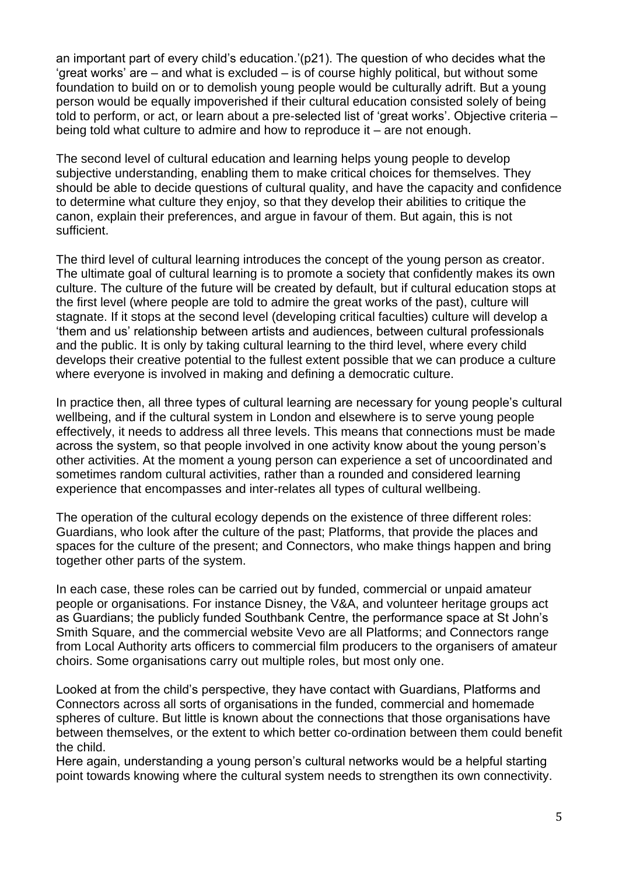an important part of every child's education.'(p21). The question of who decides what the 'great works' are – and what is excluded – is of course highly political, but without some foundation to build on or to demolish young people would be culturally adrift. But a young person would be equally impoverished if their cultural education consisted solely of being told to perform, or act, or learn about a pre-selected list of 'great works'. Objective criteria – being told what culture to admire and how to reproduce it – are not enough.

The second level of cultural education and learning helps young people to develop subjective understanding, enabling them to make critical choices for themselves. They should be able to decide questions of cultural quality, and have the capacity and confidence to determine what culture they enjoy, so that they develop their abilities to critique the canon, explain their preferences, and argue in favour of them. But again, this is not sufficient.

The third level of cultural learning introduces the concept of the young person as creator. The ultimate goal of cultural learning is to promote a society that confidently makes its own culture. The culture of the future will be created by default, but if cultural education stops at the first level (where people are told to admire the great works of the past), culture will stagnate. If it stops at the second level (developing critical faculties) culture will develop a 'them and us' relationship between artists and audiences, between cultural professionals and the public. It is only by taking cultural learning to the third level, where every child develops their creative potential to the fullest extent possible that we can produce a culture where everyone is involved in making and defining a democratic culture.

In practice then, all three types of cultural learning are necessary for young people's cultural wellbeing, and if the cultural system in London and elsewhere is to serve young people effectively, it needs to address all three levels. This means that connections must be made across the system, so that people involved in one activity know about the young person's other activities. At the moment a young person can experience a set of uncoordinated and sometimes random cultural activities, rather than a rounded and considered learning experience that encompasses and inter-relates all types of cultural wellbeing.

The operation of the cultural ecology depends on the existence of three different roles: Guardians, who look after the culture of the past; Platforms, that provide the places and spaces for the culture of the present; and Connectors, who make things happen and bring together other parts of the system.

In each case, these roles can be carried out by funded, commercial or unpaid amateur people or organisations. For instance Disney, the V&A, and volunteer heritage groups act as Guardians; the publicly funded Southbank Centre, the performance space at St John's Smith Square, and the commercial website Vevo are all Platforms; and Connectors range from Local Authority arts officers to commercial film producers to the organisers of amateur choirs. Some organisations carry out multiple roles, but most only one.

Looked at from the child's perspective, they have contact with Guardians, Platforms and Connectors across all sorts of organisations in the funded, commercial and homemade spheres of culture. But little is known about the connections that those organisations have between themselves, or the extent to which better co-ordination between them could benefit the child.

Here again, understanding a young person's cultural networks would be a helpful starting point towards knowing where the cultural system needs to strengthen its own connectivity.